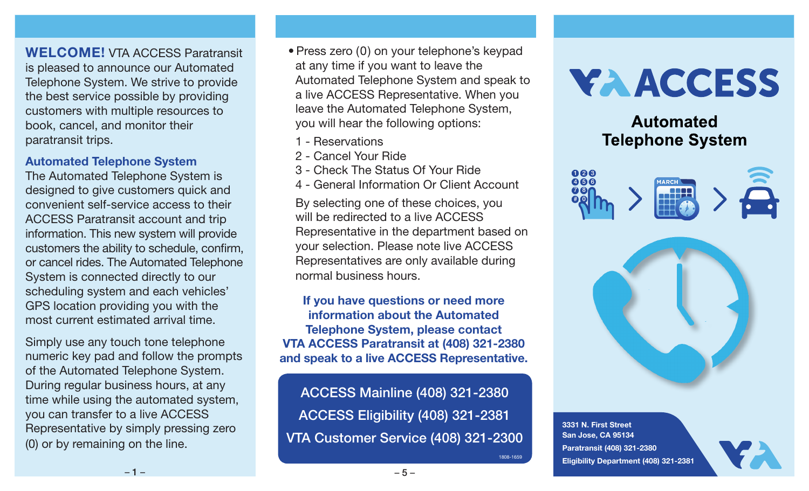WELCOME! VTA ACCESS Paratransit is pleased to announce our Automated Telephone System. We strive to provide the best service possible by providing customers with multiple resources to book, cancel, and monitor their paratransit trips.

#### Automated Telephone System

The Automated Telephone System is designed to give customers quick and convenient self-service access to their ACCESS Paratransit account and trip information. This new system will provide customers the ability to schedule, confirm, or cancel rides. The Automated Telephone System is connected directly to our scheduling system and each vehicles' GPS location providing you with the most current estimated arrival time.

Simply use any touch tone telephone numeric key pad and follow the prompts of the Automated Telephone System. During regular business hours, at any time while using the automated system, you can transfer to a live ACCESS Representative by simply pressing zero (0) or by remaining on the line.

- Press zero (0) on your telephone's keypad at any time if you want to leave the Automated Telephone System and speak to a live ACCESS Representative. When you leave the Automated Telephone System, you will hear the following options:
- 1 Reservations
- 2 Cancel Your Ride
- 3 Check The Status Of Your Ride
- 4 General Information Or Client Account

By selecting one of these choices, you will be redirected to a live ACCESS Representative in the department based on your selection. Please note live ACCESS Representatives are only available during normal business hours.

If you have questions or need more information about the Automated Telephone System, please contact VTA ACCESS Paratransit at (408) 321-2380 and speak to a live ACCESS Representative.

ACCESS Mainline (408) 321-2380 ACCESS Eligibility (408) 321-2381 VTA Customer Service (408) 321-2300

# **YAACCESS**

## **Automated Telephone System**





3331 N. First Street San Jose, CA 95134 Paratransit (408) 321-2380 Eligibility Department (408) 321-2381

1808-1659